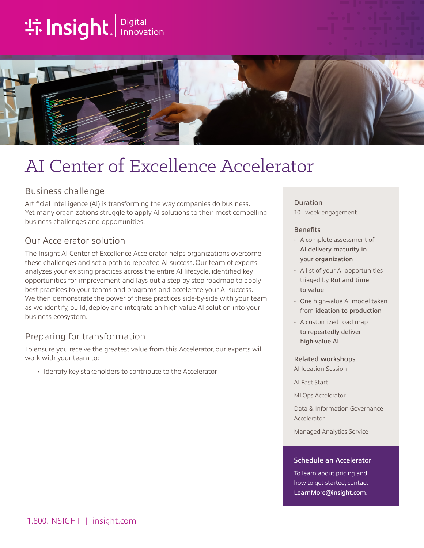# **the Insight**. Innovation



## AI Center of Excellence Accelerator

### Business challenge

Artificial Intelligence (AI) is transforming the way companies do business. Yet many organizations struggle to apply AI solutions to their most compelling business challenges and opportunities.

## Our Accelerator solution

The Insight AI Center of Excellence Accelerator helps organizations overcome these challenges and set a path to repeated AI success. Our team of experts analyzes your existing practices across the entire AI lifecycle, identified key opportunities for improvement and lays out a step-by-step roadmap to apply best practices to your teams and programs and accelerate your AI success. We then demonstrate the power of these practices side-by-side with your team as we identify, build, deploy and integrate an high value AI solution into your business ecosystem.

## Preparing for transformation

To ensure you receive the greatest value from this Accelerator, our experts will work with your team to:

• Identify key stakeholders to contribute to the Accelerator

#### Duration

10+ week engagement

#### **Benefits**

- A complete assessment of AI delivery maturity in your organization
- A list of your AI opportunities triaged by RoI and time to value
- One high-value AI model taken from ideation to production
- A customized road map to repeatedly deliver high-value AI

#### Related workshops

AI Ideation Session

AI Fast Start

MLOps Accelerator

Data & Information Governance Accelerator

Managed Analytics Service

#### Schedule an Accelerator

To learn about pricing and how to get started, contact [LearnMore@insight.com](mailto:LearnMore@insight.com).